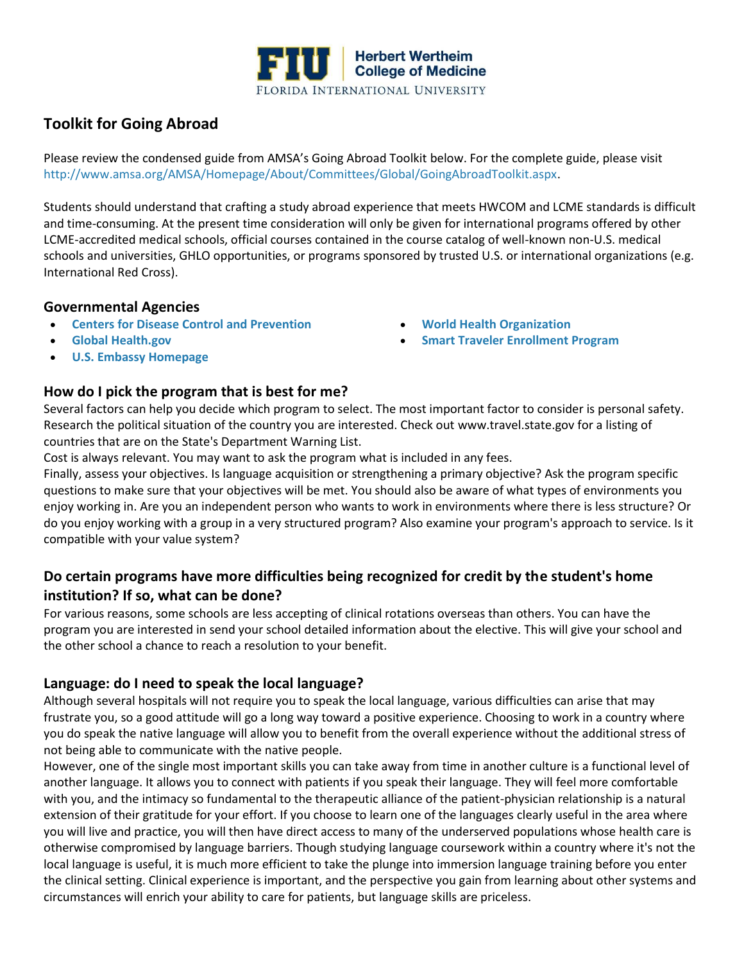

## **Toolkit for Going Abroad**

Please review the condensed guide from AMSA's Going Abroad Toolkit below. For the complete guide, please visit [http://www.amsa.org/AMSA/Homepage/About/Committees/Global/GoingAbroadToolkit.aspx.](http://www.amsa.org/AMSA/Homepage/About/Committees/Global/GoingAbroadToolkit.aspx)

Students should understand that crafting a study abroad experience that meets HWCOM and LCME standards is difficult and time-consuming. At the present time consideration will only be given for international programs offered by other LCME-accredited medical schools, official courses contained in the course catalog of well-known non-U.S. medical schools and universities, GHLO opportunities, or programs sponsored by trusted U.S. or international organizations (e.g. International Red Cross).

#### **Governmental Agencies**

- **[Centers for Disease Control and Prevention](http://www.cdc.gov/)**
- **[Global Health.gov](http://www.globalhealth.gov/)**
- **[U.S. Embassy Homepage](http://www.usembassy.gov/)**

#### **How do I pick the program that is best for me?**

Several factors can help you decide which program to select. The most important factor to consider is personal safety. Research the political situation of the country you are interested. Check ou[t www.travel.state.gov](http://www.travel.state.gov/) for a listing of countries that are on the State's Department Warning List.

Cost is always relevant. You may want to ask the program what is included in any fees.

Finally, assess your objectives. Is language acquisition or strengthening a primary objective? Ask the program specific questions to make sure that your objectives will be met. You should also be aware of what types of environments you enjoy working in. Are you an independent person who wants to work in environments where there is less structure? Or do you enjoy working with a group in a very structured program? Also examine your program's approach to service. Is it compatible with your value system?

### **Do certain programs have more difficulties being recognized for credit by the student's home institution? If so, what can be done?**

For various reasons, some schools are less accepting of clinical rotations overseas than others. You can have the program you are interested in send your school detailed information about the elective. This will give your school and the other school a chance to reach a resolution to your benefit.

#### **Language: do I need to speak the local language?**

Although several hospitals will not require you to speak the local language, various difficulties can arise that may frustrate you, so a good attitude will go a long way toward a positive experience. Choosing to work in a country where you do speak the native language will allow you to benefit from the overall experience without the additional stress of not being able to communicate with the native people.

However, one of the single most important skills you can take away from time in another culture is a functional level of another language. It allows you to connect with patients if you speak their language. They will feel more comfortable with you, and the intimacy so fundamental to the therapeutic alliance of the patient-physician relationship is a natural extension of their gratitude for your effort. If you choose to learn one of the languages clearly useful in the area where you will live and practice, you will then have direct access to many of the underserved populations whose health care is otherwise compromised by language barriers. Though studying language coursework within a country where it's not the local language is useful, it is much more efficient to take the plunge into immersion language training before you enter the clinical setting. Clinical experience is important, and the perspective you gain from learning about other systems and circumstances will enrich your ability to care for patients, but language skills are priceless.

- **[World Health Organization](http://www.who.org/)**
- **[Smart Traveler Enrollment Program](https://step.state.gov/step/)**